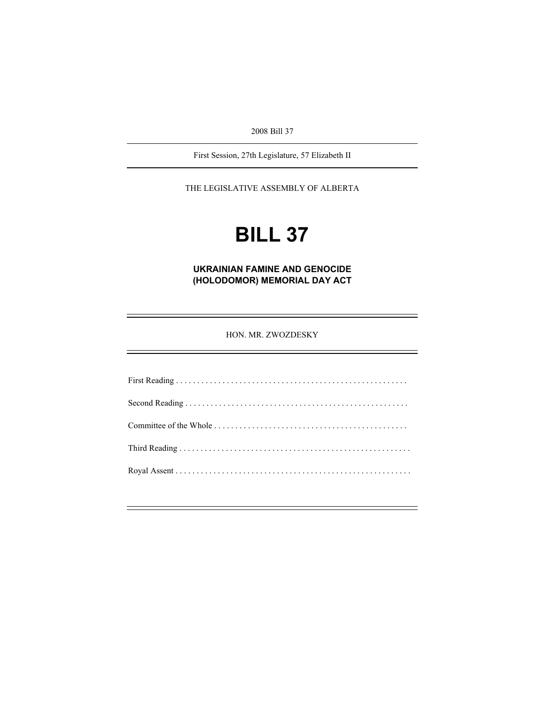2008 Bill 37

First Session, 27th Legislature, 57 Elizabeth II

THE LEGISLATIVE ASSEMBLY OF ALBERTA

# **BILL 37**

**UKRAINIAN FAMINE AND GENOCIDE (HOLODOMOR) MEMORIAL DAY ACT** 

HON. MR. ZWOZDESKY

First Reading . . . . . . . . . . . . . . . . . . . . . . . . . . . . . . . . . . . . . . . . . . . . . . . . . . . . . . . Second Reading . . . . . . . . . . . . . . . . . . . . . . . . . . . . . . . . . . . . . . . . . . . . . . . . . . . . . Committee of the Whole . . . . . . . . . . . . . . . . . . . . . . . . . . . . . . . . . . . . . . . . . . . . . . Third Reading . . . . . . . . . . . . . . . . . . . . . . . . . . . . . . . . . . . . . . . . . . . . . . . . . . . . . . . Royal Assent . . . . . . . . . . . . . . . . . . . . . . . . . . . . . . . . . . . . . . . . . . . . . . . . . . . . . . . .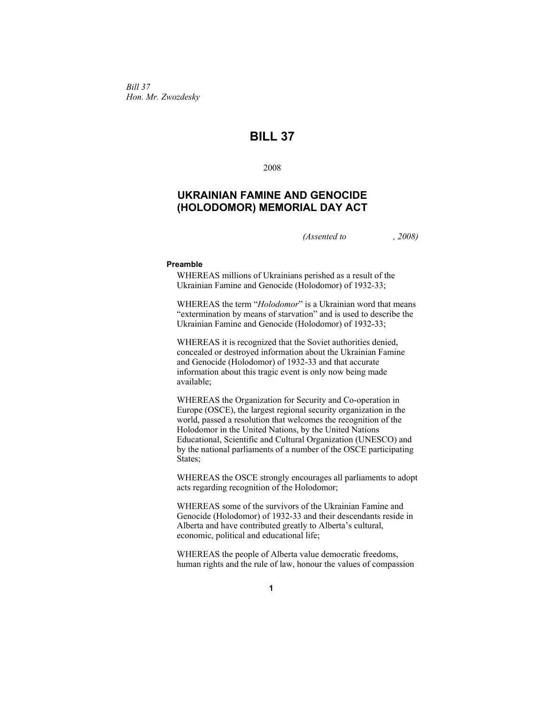*Bill 37 Hon. Mr. Zwozdesky* 

# **BILL 37**

2008

# **UKRAINIAN FAMINE AND GENOCIDE (HOLODOMOR) MEMORIAL DAY ACT**

*(Assented to , 2008)* 

## **Preamble**

WHEREAS millions of Ukrainians perished as a result of the Ukrainian Famine and Genocide (Holodomor) of 1932-33;

WHEREAS the term "*Holodomor*" is a Ukrainian word that means "extermination by means of starvation" and is used to describe the Ukrainian Famine and Genocide (Holodomor) of 1932-33;

WHEREAS it is recognized that the Soviet authorities denied, concealed or destroyed information about the Ukrainian Famine and Genocide (Holodomor) of 1932-33 and that accurate information about this tragic event is only now being made available;

WHEREAS the Organization for Security and Co-operation in Europe (OSCE), the largest regional security organization in the world, passed a resolution that welcomes the recognition of the Holodomor in the United Nations, by the United Nations Educational, Scientific and Cultural Organization (UNESCO) and by the national parliaments of a number of the OSCE participating States;

WHEREAS the OSCE strongly encourages all parliaments to adopt acts regarding recognition of the Holodomor;

WHEREAS some of the survivors of the Ukrainian Famine and Genocide (Holodomor) of 1932-33 and their descendants reside in Alberta and have contributed greatly to Alberta's cultural, economic, political and educational life;

WHEREAS the people of Alberta value democratic freedoms, human rights and the rule of law, honour the values of compassion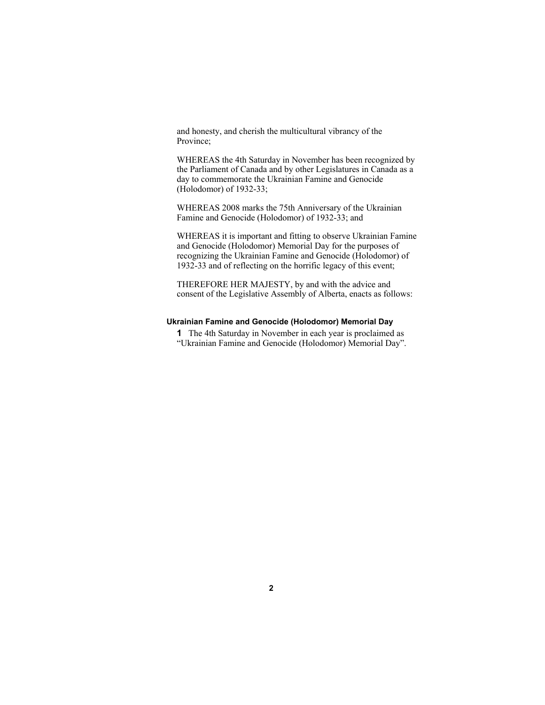and honesty, and cherish the multicultural vibrancy of the Province;

WHEREAS the 4th Saturday in November has been recognized by the Parliament of Canada and by other Legislatures in Canada as a day to commemorate the Ukrainian Famine and Genocide (Holodomor) of 1932-33;

WHEREAS 2008 marks the 75th Anniversary of the Ukrainian Famine and Genocide (Holodomor) of 1932-33; and

WHEREAS it is important and fitting to observe Ukrainian Famine and Genocide (Holodomor) Memorial Day for the purposes of recognizing the Ukrainian Famine and Genocide (Holodomor) of 1932-33 and of reflecting on the horrific legacy of this event;

THEREFORE HER MAJESTY, by and with the advice and consent of the Legislative Assembly of Alberta, enacts as follows:

### **Ukrainian Famine and Genocide (Holodomor) Memorial Day**

**1** The 4th Saturday in November in each year is proclaimed as "Ukrainian Famine and Genocide (Holodomor) Memorial Day".